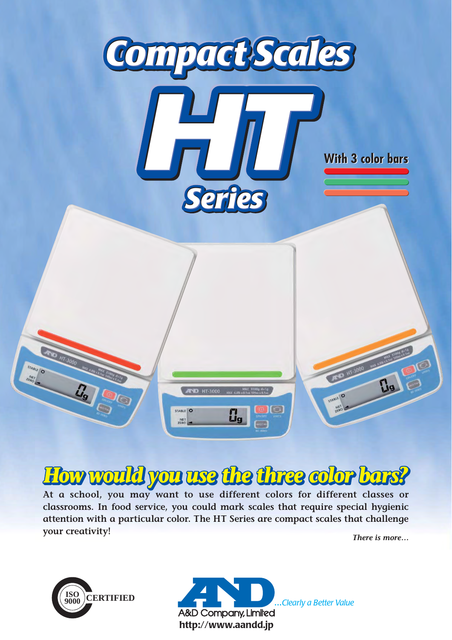

# *How would you use the three color bars? How ow ow would c u u use the three c color bars?lor lor bars?*

**At a school, you may want to use different colors for different classes or classrooms. In food service, you could mark scales that require special hygienic attention with a particular color. The HT Series are compact scales that challenge your creativity!**

*There is more…*